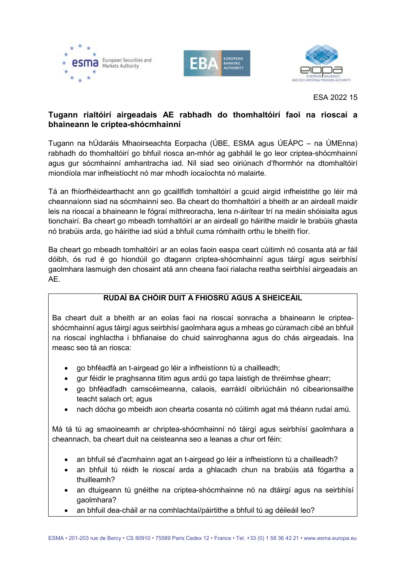





ESA 2022 15

## **Tugann rialtóirí airgeadais AE rabhadh do thomhaltóirí faoi na rioscaí a bhaineann le criptea-shócmhainní**

Tugann na hÚdaráis Mhaoirseachta Eorpacha (ÚBE, ESMA agus ÚEÁPC – na ÚMEnna) rabhadh do thomhaltóirí go bhfuil riosca an-mhór ag gabháil le go leor criptea-shócmhainní agus gur sócmhainní amhantracha iad. Níl siad seo oiriúnach d'fhormhór na dtomhaltóirí miondíola mar infheistíocht nó mar mhodh íocaíochta nó malairte.

Tá an fhíorfhéidearthacht ann go gcaillfidh tomhaltóirí a gcuid airgid infheistithe go léir má cheannaíonn siad na sócmhainní seo. Ba cheart do thomhaltóirí a bheith ar an airdeall maidir leis na rioscaí a bhaineann le fógraí míthreoracha, lena n-áirítear trí na meáin shóisialta agus tionchairí. Ba cheart go mbeadh tomhaltóirí ar an airdeall go háirithe maidir le brabúis ghasta nó brabúis arda, go háirithe iad siúd a bhfuil cuma rómhaith orthu le bheith fíor.

Ba cheart go mbeadh tomhaltóirí ar an eolas faoin easpa ceart cúitimh nó cosanta atá ar fáil dóibh, ós rud é go hiondúil go dtagann criptea-shócmhainní agus táirgí agus seirbhísí gaolmhara lasmuigh den chosaint atá ann cheana faoi rialacha reatha seirbhísí airgeadais an AE.

## **RUDAÍ BA CHÓIR DUIT A FHIOSRÚ AGUS A SHEICEÁIL**

Ba cheart duit a bheith ar an eolas faoi na rioscaí sonracha a bhaineann le cripteashócmhainní agus táirgí agus seirbhísí gaolmhara agus a mheas go cúramach cibé an bhfuil na rioscaí inghlactha i bhfianaise do chuid sainroghanna agus do chás airgeadais. Ina measc seo tá an riosca:

- go bhféadfá an t-airgead go léir a infheistíonn tú a chailleadh;
- gur féidir le praghsanna titim agus ardú go tapa laistigh de thréimhse ghearr;
- go bhféadfadh camscéimeanna, calaois, earráidí oibriúcháin nó cibearionsaithe teacht salach ort; agus
- nach dócha go mbeidh aon chearta cosanta nó cúitimh agat má théann rudaí amú.

Má tá tú ag smaoineamh ar chriptea-shócmhainní nó táirgí agus seirbhísí gaolmhara a cheannach, ba cheart duit na ceisteanna seo a leanas a chur ort féin:

- an bhfuil sé d'acmhainn agat an t-airgead go léir a infheistíonn tú a chailleadh?
- an bhfuil tú réidh le rioscaí arda a ghlacadh chun na brabúis atá fógartha a thuilleamh?
- an dtuigeann tú gnéithe na criptea-shócmhainne nó na dtáirgí agus na seirbhísí gaolmhara?
- an bhfuil dea-cháil ar na comhlachtaí/páirtithe a bhfuil tú ag déileáil leo?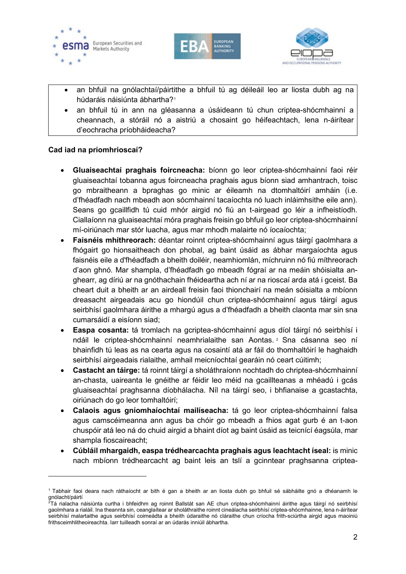





- an bhfuil na gnólachtaí/páirtithe a bhfuil tú ag déileáil leo ar liosta dubh ag na húdaráis náisiúnta ábhartha?<sup>[1](#page-1-0)</sup>
- an bhfuil tú in ann na gléasanna a úsáideann tú chun criptea-shócmhainní a cheannach, a stóráil nó a aistriú a chosaint go héifeachtach, lena n-áirítear d'eochracha príobháideacha?

## **Cad iad na príomhrioscaí?**

-

- **Gluaiseachtaí praghais foircneacha:** bíonn go leor criptea-shócmhainní faoi réir gluaiseachtaí tobanna agus foircneacha praghais agus bíonn siad amhantrach, toisc go mbraitheann a bpraghas go minic ar éileamh na dtomhaltóirí amháin (i.e. d'fhéadfadh nach mbeadh aon sócmhainní tacaíochta nó luach inláimhsithe eile ann). Seans go gcaillfidh tú cuid mhór airgid nó fiú an t-airgead go léir a infheistíodh. Ciallaíonn na gluaiseachtaí móra praghais freisin go bhfuil go leor criptea-shócmhainní mí-oiriúnach mar stór luacha, agus mar mhodh malairte nó íocaíochta;
- **Faisnéis mhíthreorach:** déantar roinnt criptea-shócmhainní agus táirgí gaolmhara a fhógairt go hionsaitheach don phobal, ag baint úsáid as ábhar margaíochta agus faisnéis eile a d'fhéadfadh a bheith doiléir, neamhiomlán, míchruinn nó fiú míthreorach d'aon ghnó. Mar shampla, d'fhéadfadh go mbeadh fógraí ar na meáin shóisialta anghearr, ag díriú ar na gnóthachain fhéideartha ach ní ar na rioscaí arda atá i gceist. Ba cheart duit a bheith ar an airdeall freisin faoi thionchairí na meán sóisialta a mbíonn dreasacht airgeadais acu go hiondúil chun criptea-shócmhainní agus táirgí agus seirbhísí gaolmhara áirithe a mhargú agus a d'fhéadfadh a bheith claonta mar sin sna cumarsáidí a eisíonn siad;
- **Easpa cosanta:** tá tromlach na gcriptea-shócmhainní agus díol táirgí nó seirbhísí i ndáil le criptea-shócmhainní neamhrialaithe san Aontas. [2](#page-1-1) Sna cásanna seo ní bhainfidh tú leas as na cearta agus na cosaintí atá ar fáil do thomhaltóirí le haghaidh seirbhísí airgeadais rialaithe, amhail meicníochtaí gearáin nó ceart cúitimh;
- **Castacht an táirge:** tá roinnt táirgí a sholáthraíonn nochtadh do chriptea-shócmhainní an-chasta, uaireanta le gnéithe ar féidir leo méid na gcaillteanas a mhéadú i gcás gluaiseachtaí praghsanna díobhálacha. Níl na táirgí seo, i bhfianaise a gcastachta, oiriúnach do go leor tomhaltóirí;
- **Calaois agus gníomhaíochtaí mailíseacha:** tá go leor criptea-shócmhainní falsa agus camscéimeanna ann agus ba chóir go mbeadh a fhios agat gurb é an t-aon chuspóir atá leo ná do chuid airgid a bhaint díot ag baint úsáid as teicnící éagsúla, mar shampla fioscaireacht;
- **Cúbláil mhargaidh, easpa trédhearcachta praghais agus leachtacht íseal:** is minic nach mbíonn trédhearcacht ag baint leis an tslí a gcinntear praghsanna criptea-

<span id="page-1-0"></span><sup>1</sup> Tabhair faoi deara nach ráthaíocht ar bith é gan a bheith ar an liosta dubh go bhfuil sé sábháilte gnó a dhéanamh le gnólacht/páirtí

<span id="page-1-1"></span> $^2$ Tá rialacha náisiúnta curtha i bhfeidhm ag roinnt Ballstát san AE chun criptea-shócmhainní áirithe agus táirgí nó seirbhísí gaolmhara a rialáil. Ina theannta sin, ceanglaítear ar sholáthraithe roinnt cineálacha seirbhísí criptea-shócmhainne, lena n-áirítear seirbhísí malartaithe agus seirbhísí coimeádta a bheith údaraithe nó cláraithe chun críocha frith-sciúrtha airgid agus maoiniú frithsceimhlitheoireachta. Iarr tuilleadh sonraí ar an údarás inniúil ábhartha.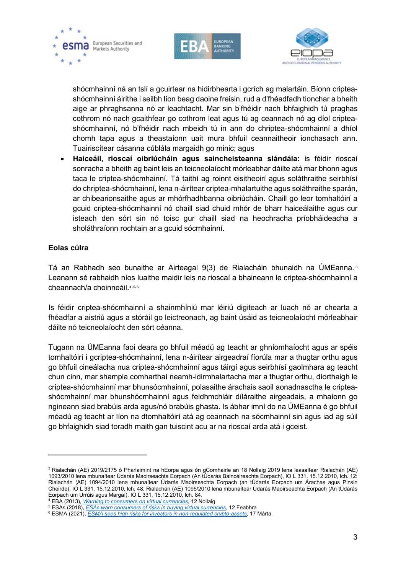





shócmhainní ná an tslí a gcuirtear na hidirbhearta i gcrích ag malartáin. Bíonn cripteashócmhainní áirithe i seilbh líon beag daoine freisin, rud a d'fhéadfadh tionchar a bheith aige ar phraghsanna nó ar leachtacht. Mar sin b'fhéidir nach bhfaighidh tú praghas cothrom nó nach gcaithfear go cothrom leat agus tú ag ceannach nó ag díol cripteashócmhainní, nó b'fhéidir nach mbeidh tú in ann do chriptea-shócmhainní a dhíol chomh tapa agus a theastaíonn uait mura bhfuil ceannaitheoir ionchasach ann. Tuairiscítear cásanna cúblála margaidh go minic; agus

• **Haiceáil, rioscaí oibriúcháin agus saincheisteanna slándála:** is féidir rioscaí sonracha a bheith ag baint leis an teicneolaíocht mórleabhar dáilte atá mar bhonn agus taca le criptea-shócmhainní. Tá taithí ag roinnt eisitheoirí agus soláthraithe seirbhísí do chriptea-shócmhainní, lena n-áirítear criptea-mhalartuithe agus soláthraithe sparán, ar chibearionsaithe agus ar mhórfhadhbanna oibriúcháin. Chaill go leor tomhaltóirí a gcuid criptea-shócmhainní nó chaill siad chuid mhór de bharr haiceálaithe agus cur isteach den sórt sin nó toisc gur chaill siad na heochracha príobháideacha a sholáthraíonn rochtain ar a gcuid sócmhainní.

## **Eolas cúlra**

-

Tá an Rabhadh seo bunaithe ar Airteagal 9(3) de Rialacháin bhunaidh na ÚMEanna. [3](#page-2-0) Leanann sé rabhaidh níos luaithe maidir leis na rioscaí a bhaineann le criptea-shócmhainní a cheannach/a choinneáil.[4,](#page-2-1)[5](#page-2-2),[6](#page-2-3)

Is féidir criptea-shócmhainní a shainmhíniú mar léiriú digiteach ar luach nó ar chearta a fhéadfar a aistriú agus a stóráil go leictreonach, ag baint úsáid as teicneolaíocht mórleabhair dáilte nó teicneolaíocht den sórt céanna.

Tugann na ÚMEanna faoi deara go bhfuil méadú ag teacht ar ghníomhaíocht agus ar spéis tomhaltóirí i gcriptea-shócmhainní, lena n-áirítear airgeadraí fíorúla mar a thugtar orthu agus go bhfuil cineálacha nua criptea-shócmhainní agus táirgí agus seirbhísí gaolmhara ag teacht chun cinn, mar shampla comharthaí neamh-idirmhalartacha mar a thugtar orthu, díorthaigh le criptea-shócmhainní mar bhunsócmhainní, polasaithe árachais saoil aonadnasctha le cripteashócmhainní mar bhunshócmhainní agus feidhmchláir díláraithe airgeadais, a mhaíonn go ngineann siad brabúis arda agus/nó brabúis ghasta. Is ábhar imní do na ÚMEanna é go bhfuil méadú ag teacht ar líon na dtomhaltóirí atá ag ceannach na sócmhainní sin agus iad ag súil go bhfaighidh siad toradh maith gan tuiscint acu ar na rioscaí arda atá i gceist.

<span id="page-2-0"></span><sup>3</sup> Rialachán (AE) 2019/2175 ó Pharlaimint na hEorpa agus ón gComhairle an 18 Nollaig 2019 lena leasaítear Rialachán (AE) 1093/2010 lena mbunaítear Údarás Maoirseachta Eorpach (An tÚdarás Baincéireachta Eorpach), IO L 331, 15.12.2010, lch. 12: Rialachán (AE) 1094/2010 lena mbunaítear Údarás Maoirseachta Eorpach (an tÚdarás Eorpach um Árachas agus Pinsin Cheirde), IO L 331, 15.12.2010, lch. 48; Rialachán (AE) 1095/2010 lena mbunaítear Údarás Maoirseachta Eorpach (An tÚdarás Eorpach um Urrúis agus Margaí), IO L 331, 15.12.2010, lch. 84.

<span id="page-2-1"></span><sup>4</sup> EBA (2013), *[Warning to consumers on virtual currencies](https://www.eba.europa.eu/sites/default/documents/files/documents/10180/598344/b99b0dd0-f253-47ee-82a5-c547e408948c/EBA%20Warning%20on%20Virtual%20Currencies.pdf?retry=1)*, 12 Nollaig

<sup>5</sup> ESAs (2018), *[ESAs warn consumers of risks in buying virtual currencies](https://www.esma.europa.eu/press-news/esma-news/esas-warn-consumers-risks-in-buying-virtual-currencies)*, 12 Feabhra

<span id="page-2-3"></span><span id="page-2-2"></span><sup>6</sup> ESMA (2021), *[ESMA sees high risks for investors in](https://www.esma.europa.eu/press-news/esma-news/esma-sees-high-risk-investors-in-non-regulated-crypto-assets#:%7E:text=The%20ESAs%20remind%20consumers%20that%20some%20crypto-assets%20are,including%20the%20possibility%20of%20losing%20all%20their%20money.) non-regulated crypto-assets*, 17 Márta.